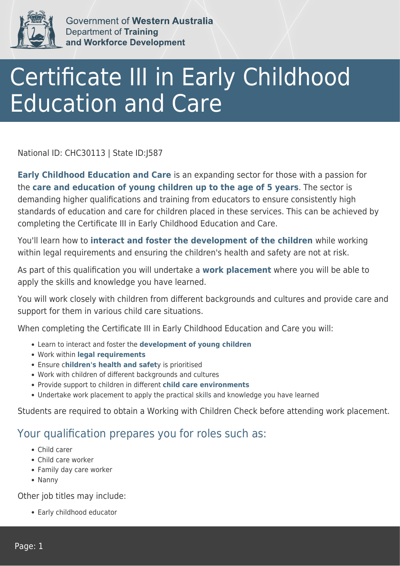

Government of Western Australia Department of Training and Workforce Development

## Certificate III in Early Childhood Education and Care

National ID: CHC30113 | State ID:J587

**Early Childhood Education and Care** is an expanding sector for those with a passion for the **care and education of young children up to the age of 5 years**. The sector is demanding higher qualifications and training from educators to ensure consistently high standards of education and care for children placed in these services. This can be achieved by completing the Certificate III in Early Childhood Education and Care.

You'll learn how to **interact and foster the development of the children** while working within legal requirements and ensuring the children's health and safety are not at risk.

As part of this qualification you will undertake a **work placement** where you will be able to apply the skills and knowledge you have learned.

You will work closely with children from different backgrounds and cultures and provide care and support for them in various child care situations.

When completing the Certificate III in Early Childhood Education and Care you will:

- Learn to interact and foster the **development of young children**
- Work within **legal requirements**
- Ensure c**hildren's health and safet**y is prioritised
- Work with children of different backgrounds and cultures
- Provide support to children in different **child care environments**
- Undertake work placement to apply the practical skills and knowledge you have learned

Students are required to obtain a Working with Children Check before attending work placement.

## Your qualification prepares you for roles such as:

- Child carer
- Child care worker
- Family day care worker
- Nanny

Other job titles may include:

Early childhood educator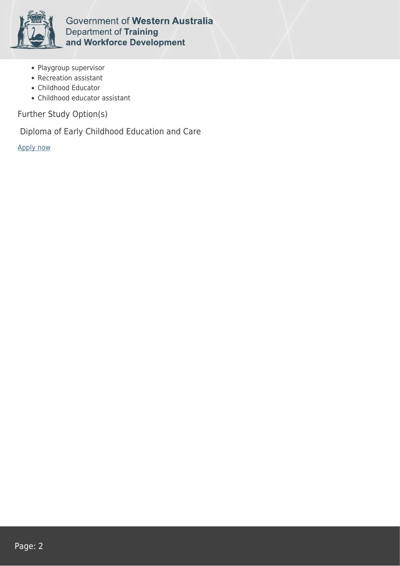

**Government of Western Australia Department of Training** and Workforce Development

- Playgroup supervisor
- Recreation assistant
- Childhood Educator
- Childhood educator assistant

Further Study Option(s)

Diploma of Early Childhood Education and Care

[Apply now](https://tasonline.tafe.wa.edu.au/Default.aspx)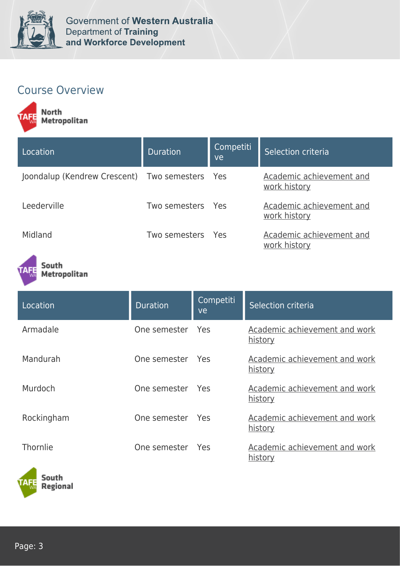

## Course Overview

North<br>Metropolitan

| Location                                       | <b>Duration</b>   | Competiti<br>ve | Selection criteria                       |
|------------------------------------------------|-------------------|-----------------|------------------------------------------|
| Joondalup (Kendrew Crescent) Two semesters Yes |                   |                 | Academic achievement and<br>work history |
| Leederville                                    | Two semesters Yes |                 | Academic achievement and<br>work history |
| Midland                                        | Two semesters Yes |                 | Academic achievement and<br>work history |

South Metropolitan

| Location   | <b>Duration</b>  | Competiti<br>ve | Selection criteria                              |
|------------|------------------|-----------------|-------------------------------------------------|
| Armadale   | One semester Yes |                 | Academic achievement and work<br><u>history</u> |
| Mandurah   | One semester     | Yes             | Academic achievement and work<br><u>history</u> |
| Murdoch    | One semester Yes |                 | Academic achievement and work<br>history        |
| Rockingham | One semester Yes |                 | Academic achievement and work<br><u>history</u> |
| Thornlie   | One semester     | Yes             | Academic achievement and work<br>history        |